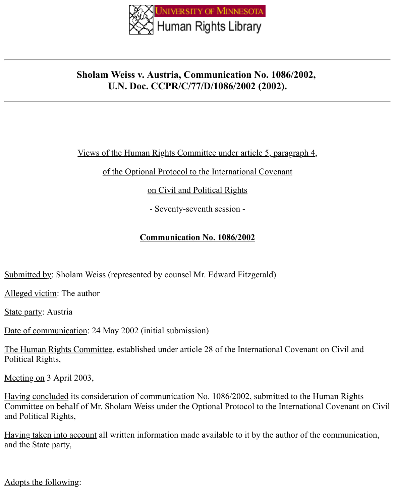

# **Sholam Weiss v. Austria, Communication No. 1086/2002, U.N. Doc. CCPR/C/77/D/1086/2002 (2002).**

### Views of the Human Rights Committee under article 5, paragraph 4,

of the Optional Protocol to the International Covenant

on Civil and Political Rights

- Seventy-seventh session -

# **Communication No. 1086/2002**

Submitted by: Sholam Weiss (represented by counsel Mr. Edward Fitzgerald)

Alleged victim: The author

State party: Austria

Date of communication: 24 May 2002 (initial submission)

The Human Rights Committee, established under article 28 of the International Covenant on Civil and Political Rights,

Meeting on 3 April 2003,

Having concluded its consideration of communication No. 1086/2002, submitted to the Human Rights Committee on behalf of Mr. Sholam Weiss under the Optional Protocol to the International Covenant on Civil and Political Rights,

Having taken into account all written information made available to it by the author of the communication, and the State party,

Adopts the following: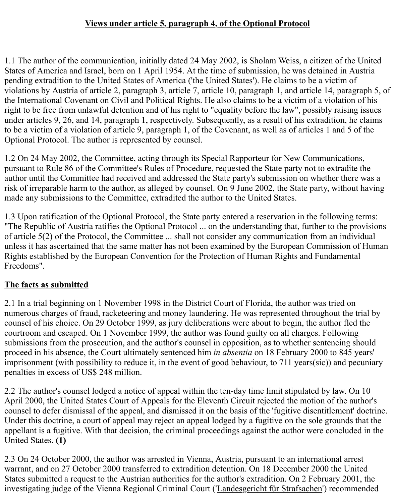#### **Views under article 5, paragraph 4, of the Optional Protocol**

1.1 The author of the communication, initially dated 24 May 2002, is Sholam Weiss, a citizen of the United States of America and Israel, born on 1 April 1954. At the time of submission, he was detained in Austria pending extradition to the United States of America ('the United States'). He claims to be a victim of violations by Austria of article 2, paragraph 3, article 7, article 10, paragraph 1, and article 14, paragraph 5, of the International Covenant on Civil and Political Rights. He also claims to be a victim of a violation of his right to be free from unlawful detention and of his right to "equality before the law", possibly raising issues under articles 9, 26, and 14, paragraph 1, respectively. Subsequently, as a result of his extradition, he claims to be a victim of a violation of article 9, paragraph 1, of the Covenant, as well as of articles 1 and 5 of the Optional Protocol. The author is represented by counsel.

1.2 On 24 May 2002, the Committee, acting through its Special Rapporteur for New Communications, pursuant to Rule 86 of the Committee's Rules of Procedure, requested the State party not to extradite the author until the Committee had received and addressed the State party's submission on whether there was a risk of irreparable harm to the author, as alleged by counsel. On 9 June 2002, the State party, without having made any submissions to the Committee, extradited the author to the United States.

1.3 Upon ratification of the Optional Protocol, the State party entered a reservation in the following terms: "The Republic of Austria ratifies the Optional Protocol ... on the understanding that, further to the provisions of article 5(2) of the Protocol, the Committee ... shall not consider any communication from an individual unless it has ascertained that the same matter has not been examined by the European Commission of Human Rights established by the European Convention for the Protection of Human Rights and Fundamental Freedoms".

#### **The facts as submitted**

2.1 In a trial beginning on 1 November 1998 in the District Court of Florida, the author was tried on numerous charges of fraud, racketeering and money laundering. He was represented throughout the trial by counsel of his choice. On 29 October 1999, as jury deliberations were about to begin, the author fled the courtroom and escaped. On 1 November 1999, the author was found guilty on all charges. Following submissions from the prosecution, and the author's counsel in opposition, as to whether sentencing should proceed in his absence, the Court ultimately sentenced him *in absentia* on 18 February 2000 to 845 years' imprisonment (with possibility to reduce it, in the event of good behaviour, to 711 years(sic)) and pecuniary penalties in excess of US\$ 248 million.

2.2 The author's counsel lodged a notice of appeal within the ten-day time limit stipulated by law. On 10 April 2000, the United States Court of Appeals for the Eleventh Circuit rejected the motion of the author's counsel to defer dismissal of the appeal, and dismissed it on the basis of the 'fugitive disentitlement' doctrine. Under this doctrine, a court of appeal may reject an appeal lodged by a fugitive on the sole grounds that the appellant is a fugitive. With that decision, the criminal proceedings against the author were concluded in the United States. **(1)**

2.3 On 24 October 2000, the author was arrested in Vienna, Austria, pursuant to an international arrest warrant, and on 27 October 2000 transferred to extradition detention. On 18 December 2000 the United States submitted a request to the Austrian authorities for the author's extradition. On 2 February 2001, the investigating judge of the Vienna Regional Criminal Court ('Landesgericht für Strafsachen') recommended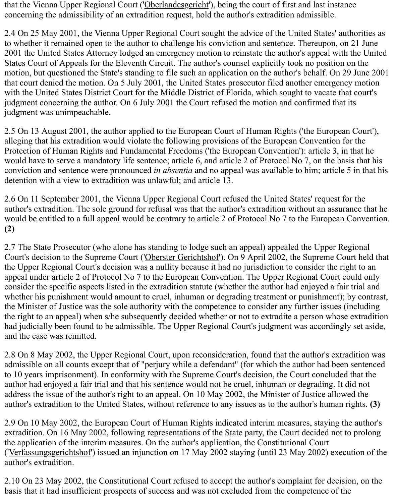that the Vienna Upper Regional Court ('Oberlandesgericht'), being the court of first and last instance concerning the admissibility of an extradition request, hold the author's extradition admissible.

2.4 On 25 May 2001, the Vienna Upper Regional Court sought the advice of the United States' authorities as to whether it remained open to the author to challenge his conviction and sentence. Thereupon, on 21 June 2001 the United States Attorney lodged an emergency motion to reinstate the author's appeal with the United States Court of Appeals for the Eleventh Circuit. The author's counsel explicitly took no position on the motion, but questioned the State's standing to file such an application on the author's behalf. On 29 June 2001 that court denied the motion. On 5 July 2001, the United States prosecutor filed another emergency motion with the United States District Court for the Middle District of Florida, which sought to vacate that court's judgment concerning the author. On 6 July 2001 the Court refused the motion and confirmed that its judgment was unimpeachable.

2.5 On 13 August 2001, the author applied to the European Court of Human Rights ('the European Court'), alleging that his extradition would violate the following provisions of the European Convention for the Protection of Human Rights and Fundamental Freedoms ('the European Convention'): article 3, in that he would have to serve a mandatory life sentence; article 6, and article 2 of Protocol No 7, on the basis that his conviction and sentence were pronounced *in absentia* and no appeal was available to him; article 5 in that his detention with a view to extradition was unlawful; and article 13.

2.6 On 11 September 2001, the Vienna Upper Regional Court refused the United States' request for the author's extradition. The sole ground for refusal was that the author's extradition without an assurance that he would be entitled to a full appeal would be contrary to article 2 of Protocol No 7 to the European Convention. **(2)**

2.7 The State Prosecutor (who alone has standing to lodge such an appeal) appealed the Upper Regional Court's decision to the Supreme Court ('Oberster Gerichtshof'). On 9 April 2002, the Supreme Court held that the Upper Regional Court's decision was a nullity because it had no jurisdiction to consider the right to an appeal under article 2 of Protocol No 7 to the European Convention. The Upper Regional Court could only consider the specific aspects listed in the extradition statute (whether the author had enjoyed a fair trial and whether his punishment would amount to cruel, inhuman or degrading treatment or punishment); by contrast, the Minister of Justice was the sole authority with the competence to consider any further issues (including the right to an appeal) when s/he subsequently decided whether or not to extradite a person whose extradition had judicially been found to be admissible. The Upper Regional Court's judgment was accordingly set aside, and the case was remitted.

2.8 On 8 May 2002, the Upper Regional Court, upon reconsideration, found that the author's extradition was admissible on all counts except that of "perjury while a defendant" (for which the author had been sentenced to 10 years imprisonment). In conformity with the Supreme Court's decision, the Court concluded that the author had enjoyed a fair trial and that his sentence would not be cruel, inhuman or degrading. It did not address the issue of the author's right to an appeal. On 10 May 2002, the Minister of Justice allowed the author's extradition to the United States, without reference to any issues as to the author's human rights. **(3)**

2.9 On 10 May 2002, the European Court of Human Rights indicated interim measures, staying the author's extradition. On 16 May 2002, following representations of the State party, the Court decided not to prolong the application of the interim measures. On the author's application, the Constitutional Court ('Verfassungsgerichtshof') issued an injunction on 17 May 2002 staying (until 23 May 2002) execution of the author's extradition.

2.10 On 23 May 2002, the Constitutional Court refused to accept the author's complaint for decision, on the basis that it had insufficient prospects of success and was not excluded from the competence of the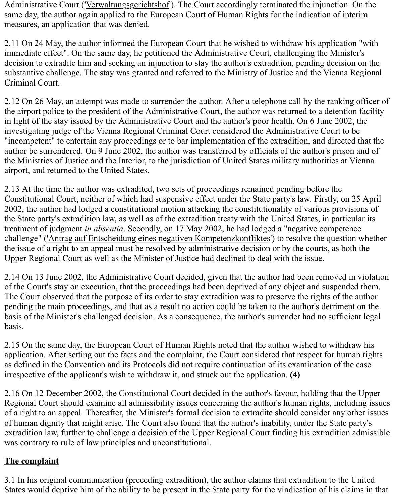Administrative Court ('Verwaltungsgerichtshof'). The Court accordingly terminated the injunction. On the same day, the author again applied to the European Court of Human Rights for the indication of interim measures, an application that was denied.

2.11 On 24 May, the author informed the European Court that he wished to withdraw his application "with immediate effect". On the same day, he petitioned the Administrative Court, challenging the Minister's decision to extradite him and seeking an injunction to stay the author's extradition, pending decision on the substantive challenge. The stay was granted and referred to the Ministry of Justice and the Vienna Regional Criminal Court.

2.12 On 26 May, an attempt was made to surrender the author. After a telephone call by the ranking officer of the airport police to the president of the Administrative Court, the author was returned to a detention facility in light of the stay issued by the Administrative Court and the author's poor health. On 6 June 2002, the investigating judge of the Vienna Regional Criminal Court considered the Administrative Court to be "incompetent" to entertain any proceedings or to bar implementation of the extradition, and directed that the author be surrendered. On 9 June 2002, the author was transferred by officials of the author's prison and of the Ministries of Justice and the Interior, to the jurisdiction of United States military authorities at Vienna airport, and returned to the United States.

2.13 At the time the author was extradited, two sets of proceedings remained pending before the Constitutional Court, neither of which had suspensive effect under the State party's law. Firstly, on 25 April 2002, the author had lodged a constitutional motion attacking the constitutionality of various provisions of the State party's extradition law, as well as of the extradition treaty with the United States, in particular its treatment of judgment *in absentia*. Secondly, on 17 May 2002, he had lodged a "negative competence challenge" ('Antrag auf Entscheidung eines negativen Kompetenzkonfliktes') to resolve the question whether the issue of a right to an appeal must be resolved by administrative decision or by the courts, as both the Upper Regional Court as well as the Minister of Justice had declined to deal with the issue.

2.14 On 13 June 2002, the Administrative Court decided, given that the author had been removed in violation of the Court's stay on execution, that the proceedings had been deprived of any object and suspended them. The Court observed that the purpose of its order to stay extradition was to preserve the rights of the author pending the main proceedings, and that as a result no action could be taken to the author's detriment on the basis of the Minister's challenged decision. As a consequence, the author's surrender had no sufficient legal basis.

2.15 On the same day, the European Court of Human Rights noted that the author wished to withdraw his application. After setting out the facts and the complaint, the Court considered that respect for human rights as defined in the Convention and its Protocols did not require continuation of its examination of the case irrespective of the applicant's wish to withdraw it, and struck out the application. **(4)**

2.16 On 12 December 2002, the Constitutional Court decided in the author's favour, holding that the Upper Regional Court should examine all admissibility issues concerning the author's human rights, including issues of a right to an appeal. Thereafter, the Minister's formal decision to extradite should consider any other issues of human dignity that might arise. The Court also found that the author's inability, under the State party's extradition law, further to challenge a decision of the Upper Regional Court finding his extradition admissible was contrary to rule of law principles and unconstitutional.

# **The complaint**

3.1 In his original communication (preceding extradition), the author claims that extradition to the United States would deprive him of the ability to be present in the State party for the vindication of his claims in that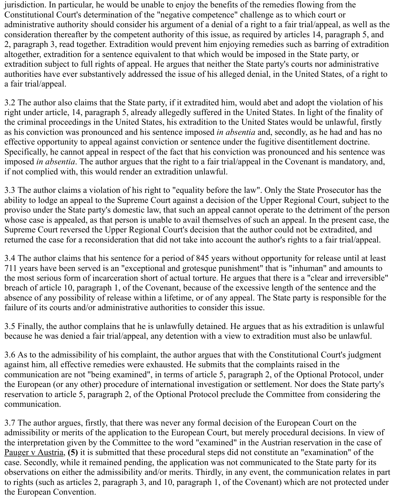jurisdiction. In particular, he would be unable to enjoy the benefits of the remedies flowing from the Constitutional Court's determination of the "negative competence" challenge as to which court or administrative authority should consider his argument of a denial of a right to a fair trial/appeal, as well as the consideration thereafter by the competent authority of this issue, as required by articles 14, paragraph 5, and 2, paragraph 3, read together. Extradition would prevent him enjoying remedies such as barring of extradition altogether, extradition for a sentence equivalent to that which would be imposed in the State party, or extradition subject to full rights of appeal. He argues that neither the State party's courts nor administrative authorities have ever substantively addressed the issue of his alleged denial, in the United States, of a right to a fair trial/appeal.

3.2 The author also claims that the State party, if it extradited him, would abet and adopt the violation of his right under article, 14, paragraph 5, already allegedly suffered in the United States. In light of the finality of the criminal proceedings in the United States, his extradition to the United States would be unlawful, firstly as his conviction was pronounced and his sentence imposed *in absentia* and, secondly, as he had and has no effective opportunity to appeal against conviction or sentence under the fugitive disentitlement doctrine. Specifically, he cannot appeal in respect of the fact that his conviction was pronounced and his sentence was imposed *in absentia*. The author argues that the right to a fair trial/appeal in the Covenant is mandatory, and, if not complied with, this would render an extradition unlawful.

3.3 The author claims a violation of his right to "equality before the law". Only the State Prosecutor has the ability to lodge an appeal to the Supreme Court against a decision of the Upper Regional Court, subject to the proviso under the State party's domestic law, that such an appeal cannot operate to the detriment of the person whose case is appealed, as that person is unable to avail themselves of such an appeal. In the present case, the Supreme Court reversed the Upper Regional Court's decision that the author could not be extradited, and returned the case for a reconsideration that did not take into account the author's rights to a fair trial/appeal.

3.4 The author claims that his sentence for a period of 845 years without opportunity for release until at least 711 years have been served is an "exceptional and grotesque punishment" that is "inhuman" and amounts to the most serious form of incarceration short of actual torture. He argues that there is a "clear and irreversible" breach of article 10, paragraph 1, of the Covenant, because of the excessive length of the sentence and the absence of any possibility of release within a lifetime, or of any appeal. The State party is responsible for the failure of its courts and/or administrative authorities to consider this issue.

3.5 Finally, the author complains that he is unlawfully detained. He argues that as his extradition is unlawful because he was denied a fair trial/appeal, any detention with a view to extradition must also be unlawful.

3.6 As to the admissibility of his complaint, the author argues that with the Constitutional Court's judgment against him, all effective remedies were exhausted. He submits that the complaints raised in the communication are not "being examined", in terms of article 5, paragraph 2, of the Optional Protocol, under the European (or any other) procedure of international investigation or settlement. Nor does the State party's reservation to article 5, paragraph 2, of the Optional Protocol preclude the Committee from considering the communication.

3.7 The author argues, firstly, that there was never any formal decision of the European Court on the admissibility or merits of the application to the European Court, but merely procedural decisions. In view of the interpretation given by the Committee to the word "examined" in the Austrian reservation in the case of Pauger v Austria, **(5)** it is submitted that these procedural steps did not constitute an "examination" of the case. Secondly, while it remained pending, the application was not communicated to the State party for its observations on either the admissibility and/or merits. Thirdly, in any event, the communication relates in part to rights (such as articles 2, paragraph 3, and 10, paragraph 1, of the Covenant) which are not protected under the European Convention.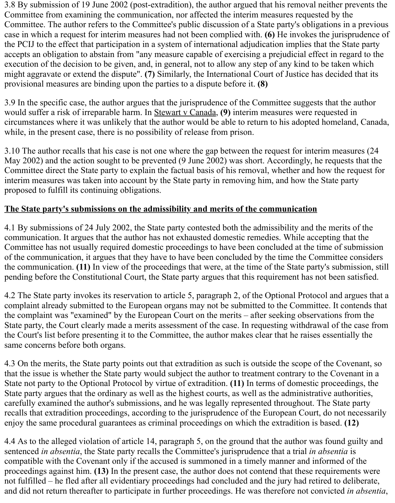3.8 By submission of 19 June 2002 (post-extradition), the author argued that his removal neither prevents the Committee from examining the communication, nor affected the interim measures requested by the Committee. The author refers to the Committee's public discussion of a State party's obligations in a previous case in which a request for interim measures had not been complied with. **(6)** He invokes the jurisprudence of the PCIJ to the effect that participation in a system of international adjudication implies that the State party accepts an obligation to abstain from "any measure capable of exercising a prejudicial effect in regard to the execution of the decision to be given, and, in general, not to allow any step of any kind to be taken which might aggravate or extend the dispute". **(7)** Similarly, the International Court of Justice has decided that its provisional measures are binding upon the parties to a dispute before it. **(8)**

3.9 In the specific case, the author argues that the jurisprudence of the Committee suggests that the author would suffer a risk of irreparable harm. In Stewart v Canada, **(9)** interim measures were requested in circumstances where it was unlikely that the author would be able to return to his adopted homeland, Canada, while, in the present case, there is no possibility of release from prison.

3.10 The author recalls that his case is not one where the gap between the request for interim measures (24 May 2002) and the action sought to be prevented (9 June 2002) was short. Accordingly, he requests that the Committee direct the State party to explain the factual basis of his removal, whether and how the request for interim measures was taken into account by the State party in removing him, and how the State party proposed to fulfill its continuing obligations.

# **The State party's submissions on the admissibility and merits of the communication**

4.1 By submissions of 24 July 2002, the State party contested both the admissibility and the merits of the communication. It argues that the author has not exhausted domestic remedies. While accepting that the Committee has not usually required domestic proceedings to have been concluded at the time of submission of the communication, it argues that they have to have been concluded by the time the Committee considers the communication. **(11)** In view of the proceedings that were, at the time of the State party's submission, still pending before the Constitutional Court, the State party argues that this requirement has not been satisfied.

4.2 The State party invokes its reservation to article 5, paragraph 2, of the Optional Protocol and argues that a complaint already submitted to the European organs may not be submitted to the Committee. It contends that the complaint was "examined" by the European Court on the merits – after seeking observations from the State party, the Court clearly made a merits assessment of the case. In requesting withdrawal of the case from the Court's list before presenting it to the Committee, the author makes clear that he raises essentially the same concerns before both organs.

4.3 On the merits, the State party points out that extradition as such is outside the scope of the Covenant, so that the issue is whether the State party would subject the author to treatment contrary to the Covenant in a State not party to the Optional Protocol by virtue of extradition. **(11)** In terms of domestic proceedings, the State party argues that the ordinary as well as the highest courts, as well as the administrative authorities, carefully examined the author's submissions, and he was legally represented throughout. The State party recalls that extradition proceedings, according to the jurisprudence of the European Court, do not necessarily enjoy the same procedural guarantees as criminal proceedings on which the extradition is based. **(12)**

4.4 As to the alleged violation of article 14, paragraph 5, on the ground that the author was found guilty and sentenced *in absentia*, the State party recalls the Committee's jurisprudence that a trial *in absentia* is compatible with the Covenant only if the accused is summoned in a timely manner and informed of the proceedings against him. **(13)** In the present case, the author does not contend that these requirements were not fulfilled – he fled after all evidentiary proceedings had concluded and the jury had retired to deliberate, and did not return thereafter to participate in further proceedings. He was therefore not convicted *in absentia*,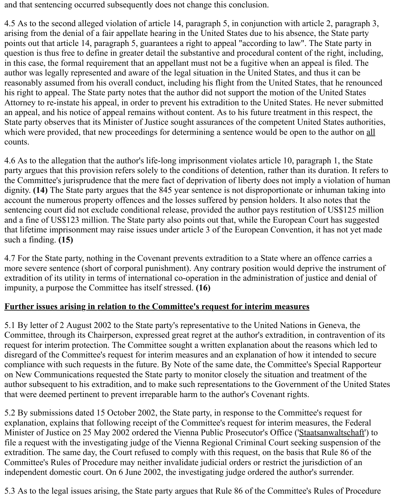and that sentencing occurred subsequently does not change this conclusion.

4.5 As to the second alleged violation of article 14, paragraph 5, in conjunction with article 2, paragraph 3, arising from the denial of a fair appellate hearing in the United States due to his absence, the State party points out that article 14, paragraph 5, guarantees a right to appeal "according to law". The State party in question is thus free to define in greater detail the substantive and procedural content of the right, including, in this case, the formal requirement that an appellant must not be a fugitive when an appeal is filed. The author was legally represented and aware of the legal situation in the United States, and thus it can be reasonably assumed from his overall conduct, including his flight from the United States, that he renounced his right to appeal. The State party notes that the author did not support the motion of the United States Attorney to re-instate his appeal, in order to prevent his extradition to the United States. He never submitted an appeal, and his notice of appeal remains without content. As to his future treatment in this respect, the State party observes that its Minister of Justice sought assurances of the competent United States authorities, which were provided, that new proceedings for determining a sentence would be open to the author on all counts.

4.6 As to the allegation that the author's life-long imprisonment violates article 10, paragraph 1, the State party argues that this provision refers solely to the conditions of detention, rather than its duration. It refers to the Committee's jurisprudence that the mere fact of deprivation of liberty does not imply a violation of human dignity. **(14)** The State party argues that the 845 year sentence is not disproportionate or inhuman taking into account the numerous property offences and the losses suffered by pension holders. It also notes that the sentencing court did not exclude conditional release, provided the author pays restitution of US\$125 million and a fine of US\$123 million. The State party also points out that, while the European Court has suggested that lifetime imprisonment may raise issues under article 3 of the European Convention, it has not yet made such a finding. **(15)**

4.7 For the State party, nothing in the Covenant prevents extradition to a State where an offence carries a more severe sentence (short of corporal punishment). Any contrary position would deprive the instrument of extradition of its utility in terms of international co-operation in the administration of justice and denial of impunity, a purpose the Committee has itself stressed. **(16)**

# **Further issues arising in relation to the Committee's request for interim measures**

5.1 By letter of 2 August 2002 to the State party's representative to the United Nations in Geneva, the Committee, through its Chairperson, expressed great regret at the author's extradition, in contravention of its request for interim protection. The Committee sought a written explanation about the reasons which led to disregard of the Committee's request for interim measures and an explanation of how it intended to secure compliance with such requests in the future. By Note of the same date, the Committee's Special Rapporteur on New Communications requested the State party to monitor closely the situation and treatment of the author subsequent to his extradition, and to make such representations to the Government of the United States that were deemed pertinent to prevent irreparable harm to the author's Covenant rights.

5.2 By submissions dated 15 October 2002, the State party, in response to the Committee's request for explanation, explains that following receipt of the Committee's request for interim measures, the Federal Minister of Justice on 25 May 2002 ordered the Vienna Public Prosecutor's Office ('Staatsanwaltschaft') to file a request with the investigating judge of the Vienna Regional Criminal Court seeking suspension of the extradition. The same day, the Court refused to comply with this request, on the basis that Rule 86 of the Committee's Rules of Procedure may neither invalidate judicial orders or restrict the jurisdiction of an independent domestic court. On 6 June 2002, the investigating judge ordered the author's surrender.

5.3 As to the legal issues arising, the State party argues that Rule 86 of the Committee's Rules of Procedure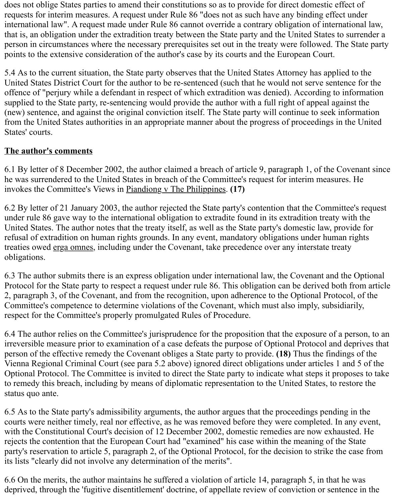does not oblige States parties to amend their constitutions so as to provide for direct domestic effect of requests for interim measures. A request under Rule 86 "does not as such have any binding effect under international law". A request made under Rule 86 cannot override a contrary obligation of international law, that is, an obligation under the extradition treaty between the State party and the United States to surrender a person in circumstances where the necessary prerequisites set out in the treaty were followed. The State party points to the extensive consideration of the author's case by its courts and the European Court.

5.4 As to the current situation, the State party observes that the United States Attorney has applied to the United States District Court for the author to be re-sentenced (such that he would not serve sentence for the offence of "perjury while a defendant in respect of which extradition was denied). According to information supplied to the State party, re-sentencing would provide the author with a full right of appeal against the (new) sentence, and against the original conviction itself. The State party will continue to seek information from the United States authorities in an appropriate manner about the progress of proceedings in the United States' courts.

### **The author's comments**

6.1 By letter of 8 December 2002, the author claimed a breach of article 9, paragraph 1, of the Covenant since he was surrendered to the United States in breach of the Committee's request for interim measures. He invokes the Committee's Views in Piandiong v The Philippines. **(17)**

6.2 By letter of 21 January 2003, the author rejected the State party's contention that the Committee's request under rule 86 gave way to the international obligation to extradite found in its extradition treaty with the United States. The author notes that the treaty itself, as well as the State party's domestic law, provide for refusal of extradition on human rights grounds. In any event, mandatory obligations under human rights treaties owed erga omnes, including under the Covenant, take precedence over any interstate treaty obligations.

6.3 The author submits there is an express obligation under international law, the Covenant and the Optional Protocol for the State party to respect a request under rule 86. This obligation can be derived both from article 2, paragraph 3, of the Covenant, and from the recognition, upon adherence to the Optional Protocol, of the Committee's competence to determine violations of the Covenant, which must also imply, subsidiarily, respect for the Committee's properly promulgated Rules of Procedure.

6.4 The author relies on the Committee's jurisprudence for the proposition that the exposure of a person, to an irreversible measure prior to examination of a case defeats the purpose of Optional Protocol and deprives that person of the effective remedy the Covenant obliges a State party to provide. **(18)** Thus the findings of the Vienna Regional Criminal Court (see para 5.2 above) ignored direct obligations under articles 1 and 5 of the Optional Protocol. The Committee is invited to direct the State party to indicate what steps it proposes to take to remedy this breach, including by means of diplomatic representation to the United States, to restore the status quo ante.

6.5 As to the State party's admissibility arguments, the author argues that the proceedings pending in the courts were neither timely, real nor effective, as he was removed before they were completed. In any event, with the Constitutional Court's decision of 12 December 2002, domestic remedies are now exhausted. He rejects the contention that the European Court had "examined" his case within the meaning of the State party's reservation to article 5, paragraph 2, of the Optional Protocol, for the decision to strike the case from its lists "clearly did not involve any determination of the merits".

6.6 On the merits, the author maintains he suffered a violation of article 14, paragraph 5, in that he was deprived, through the 'fugitive disentitlement' doctrine, of appellate review of conviction or sentence in the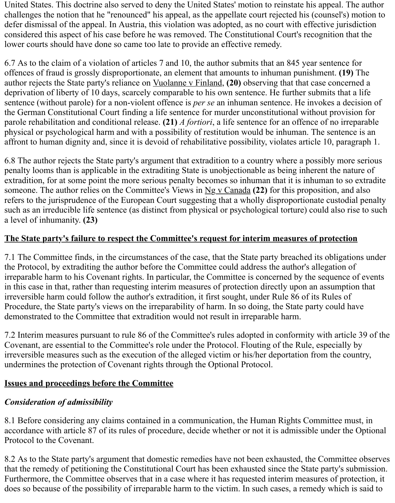United States. This doctrine also served to deny the United States' motion to reinstate his appeal. The author challenges the notion that he "renounced" his appeal, as the appellate court rejected his (counsel's) motion to defer dismissal of the appeal. In Austria, this violation was adopted, as no court with effective jurisdiction considered this aspect of his case before he was removed. The Constitutional Court's recognition that the lower courts should have done so came too late to provide an effective remedy.

6.7 As to the claim of a violation of articles 7 and 10, the author submits that an 845 year sentence for offences of fraud is grossly disproportionate, an element that amounts to inhuman punishment. **(19)** The author rejects the State party's reliance on Vuolanne v Finland, **(20)** observing that that case concerned a deprivation of liberty of 10 days, scarcely comparable to his own sentence. He further submits that a life sentence (without parole) for a non-violent offence is *per se* an inhuman sentence. He invokes a decision of the German Constitutional Court finding a life sentence for murder unconstitutional without provision for parole rehabilitation and conditional release. **(21)** *A fortiori*, a life sentence for an offence of no irreparable physical or psychological harm and with a possibility of restitution would be inhuman. The sentence is an affront to human dignity and, since it is devoid of rehabilitative possibility, violates article 10, paragraph 1.

6.8 The author rejects the State party's argument that extradition to a country where a possibly more serious penalty looms than is applicable in the extraditing State is unobjectionable as being inherent the nature of extradition, for at some point the more serious penalty becomes so inhuman that it is inhuman to so extradite someone. The author relies on the Committee's Views in Ng v Canada **(22)** for this proposition, and also refers to the jurisprudence of the European Court suggesting that a wholly disproportionate custodial penalty such as an irreducible life sentence (as distinct from physical or psychological torture) could also rise to such a level of inhumanity. **(23)**

### **The State party's failure to respect the Committee's request for interim measures of protection**

7.1 The Committee finds, in the circumstances of the case, that the State party breached its obligations under the Protocol, by extraditing the author before the Committee could address the author's allegation of irreparable harm to his Covenant rights. In particular, the Committee is concerned by the sequence of events in this case in that, rather than requesting interim measures of protection directly upon an assumption that irreversible harm could follow the author's extradition, it first sought, under Rule 86 of its Rules of Procedure, the State party's views on the irreparability of harm. In so doing, the State party could have demonstrated to the Committee that extradition would not result in irreparable harm.

7.2 Interim measures pursuant to rule 86 of the Committee's rules adopted in conformity with article 39 of the Covenant, are essential to the Committee's role under the Protocol. Flouting of the Rule, especially by irreversible measures such as the execution of the alleged victim or his/her deportation from the country, undermines the protection of Covenant rights through the Optional Protocol.

#### **Issues and proceedings before the Committee**

#### *Consideration of admissibility*

8.1 Before considering any claims contained in a communication, the Human Rights Committee must, in accordance with article 87 of its rules of procedure, decide whether or not it is admissible under the Optional Protocol to the Covenant.

8.2 As to the State party's argument that domestic remedies have not been exhausted, the Committee observes that the remedy of petitioning the Constitutional Court has been exhausted since the State party's submission. Furthermore, the Committee observes that in a case where it has requested interim measures of protection, it does so because of the possibility of irreparable harm to the victim. In such cases, a remedy which is said to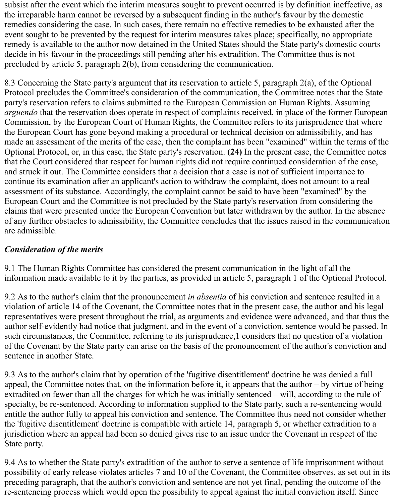subsist after the event which the interim measures sought to prevent occurred is by definition ineffective, as the irreparable harm cannot be reversed by a subsequent finding in the author's favour by the domestic remedies considering the case. In such cases, there remain no effective remedies to be exhausted after the event sought to be prevented by the request for interim measures takes place; specifically, no appropriate remedy is available to the author now detained in the United States should the State party's domestic courts decide in his favour in the proceedings still pending after his extradition. The Committee thus is not precluded by article 5, paragraph 2(b), from considering the communication.

8.3 Concerning the State party's argument that its reservation to article 5, paragraph 2(a), of the Optional Protocol precludes the Committee's consideration of the communication, the Committee notes that the State party's reservation refers to claims submitted to the European Commission on Human Rights. Assuming *arguendo* that the reservation does operate in respect of complaints received, in place of the former European Commission, by the European Court of Human Rights, the Committee refers to its jurisprudence that where the European Court has gone beyond making a procedural or technical decision on admissibility, and has made an assessment of the merits of the case, then the complaint has been "examined" within the terms of the Optional Protocol, or, in this case, the State party's reservation. **(24)** In the present case, the Committee notes that the Court considered that respect for human rights did not require continued consideration of the case, and struck it out. The Committee considers that a decision that a case is not of sufficient importance to continue its examination after an applicant's action to withdraw the complaint, does not amount to a real assessment of its substance. Accordingly, the complaint cannot be said to have been "examined" by the European Court and the Committee is not precluded by the State party's reservation from considering the claims that were presented under the European Convention but later withdrawn by the author. In the absence of any further obstacles to admissibility, the Committee concludes that the issues raised in the communication are admissible.

# *Consideration of the merits*

9.1 The Human Rights Committee has considered the present communication in the light of all the information made available to it by the parties, as provided in article 5, paragraph 1 of the Optional Protocol.

9.2 As to the author's claim that the pronouncement *in absentia* of his conviction and sentence resulted in a violation of article 14 of the Covenant, the Committee notes that in the present case, the author and his legal representatives were present throughout the trial, as arguments and evidence were advanced, and that thus the author self-evidently had notice that judgment, and in the event of a conviction, sentence would be passed. In such circumstances, the Committee, referring to its jurisprudence,1 considers that no question of a violation of the Covenant by the State party can arise on the basis of the pronouncement of the author's conviction and sentence in another State.

9.3 As to the author's claim that by operation of the 'fugitive disentitlement' doctrine he was denied a full appeal, the Committee notes that, on the information before it, it appears that the author – by virtue of being extradited on fewer than all the charges for which he was initially sentenced – will, according to the rule of specialty, be re-sentenced. According to information supplied to the State party, such a re-sentencing would entitle the author fully to appeal his conviction and sentence. The Committee thus need not consider whether the 'fugitive disentitlement' doctrine is compatible with article 14, paragraph 5, or whether extradition to a jurisdiction where an appeal had been so denied gives rise to an issue under the Covenant in respect of the State party.

9.4 As to whether the State party's extradition of the author to serve a sentence of life imprisonment without possibility of early release violates articles 7 and 10 of the Covenant, the Committee observes, as set out in its preceding paragraph, that the author's conviction and sentence are not yet final, pending the outcome of the re-sentencing process which would open the possibility to appeal against the initial conviction itself. Since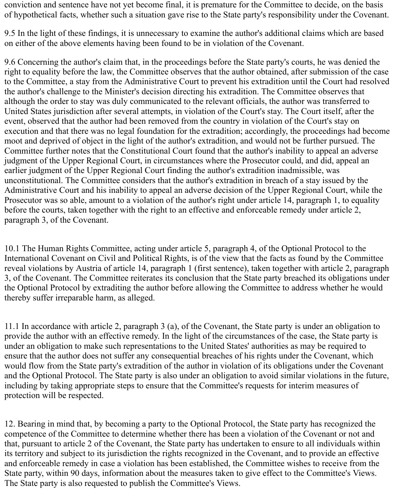conviction and sentence have not yet become final, it is premature for the Committee to decide, on the basis of hypothetical facts, whether such a situation gave rise to the State party's responsibility under the Covenant.

9.5 In the light of these findings, it is unnecessary to examine the author's additional claims which are based on either of the above elements having been found to be in violation of the Covenant.

9.6 Concerning the author's claim that, in the proceedings before the State party's courts, he was denied the right to equality before the law, the Committee observes that the author obtained, after submission of the case to the Committee, a stay from the Administrative Court to prevent his extradition until the Court had resolved the author's challenge to the Minister's decision directing his extradition. The Committee observes that although the order to stay was duly communicated to the relevant officials, the author was transferred to United States jurisdiction after several attempts, in violation of the Court's stay. The Court itself, after the event, observed that the author had been removed from the country in violation of the Court's stay on execution and that there was no legal foundation for the extradition; accordingly, the proceedings had become moot and deprived of object in the light of the author's extradition, and would not be further pursued. The Committee further notes that the Constitutional Court found that the author's inability to appeal an adverse judgment of the Upper Regional Court, in circumstances where the Prosecutor could, and did, appeal an earlier judgment of the Upper Regional Court finding the author's extradition inadmissible, was unconstitutional. The Committee considers that the author's extradition in breach of a stay issued by the Administrative Court and his inability to appeal an adverse decision of the Upper Regional Court, while the Prosecutor was so able, amount to a violation of the author's right under article 14, paragraph 1, to equality before the courts, taken together with the right to an effective and enforceable remedy under article 2, paragraph 3, of the Covenant.

10.1 The Human Rights Committee, acting under article 5, paragraph 4, of the Optional Protocol to the International Covenant on Civil and Political Rights, is of the view that the facts as found by the Committee reveal violations by Austria of article 14, paragraph 1 (first sentence), taken together with article 2, paragraph 3, of the Covenant. The Committee reiterates its conclusion that the State party breached its obligations under the Optional Protocol by extraditing the author before allowing the Committee to address whether he would thereby suffer irreparable harm, as alleged.

11.1 In accordance with article 2, paragraph 3 (a), of the Covenant, the State party is under an obligation to provide the author with an effective remedy. In the light of the circumstances of the case, the State party is under an obligation to make such representations to the United States' authorities as may be required to ensure that the author does not suffer any consequential breaches of his rights under the Covenant, which would flow from the State party's extradition of the author in violation of its obligations under the Covenant and the Optional Protocol. The State party is also under an obligation to avoid similar violations in the future, including by taking appropriate steps to ensure that the Committee's requests for interim measures of protection will be respected.

12. Bearing in mind that, by becoming a party to the Optional Protocol, the State party has recognized the competence of the Committee to determine whether there has been a violation of the Covenant or not and that, pursuant to article 2 of the Covenant, the State party has undertaken to ensure to all individuals within its territory and subject to its jurisdiction the rights recognized in the Covenant, and to provide an effective and enforceable remedy in case a violation has been established, the Committee wishes to receive from the State party, within 90 days, information about the measures taken to give effect to the Committee's Views. The State party is also requested to publish the Committee's Views.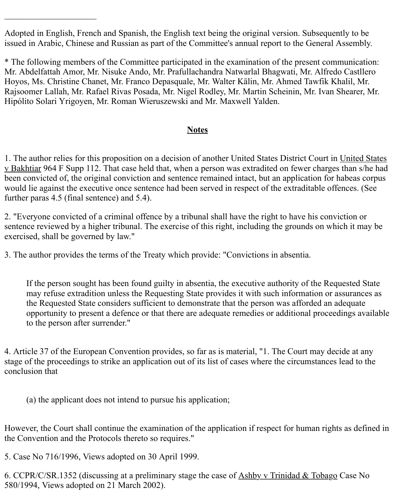Adopted in English, French and Spanish, the English text being the original version. Subsequently to be issued in Arabic, Chinese and Russian as part of the Committee's annual report to the General Assembly.

\* The following members of the Committee participated in the examination of the present communication: Mr. Abdelfattah Amor, Mr. Nisuke Ando, Mr. Prafullachandra Natwarlal Bhagwati, Mr. Alfredo Castllero Hoyos, Ms. Christine Chanet, Mr. Franco Depasquale, Mr. Walter Kälin, Mr. Ahmed Tawfik Khalil, Mr. Rajsoomer Lallah, Mr. Rafael Rivas Posada, Mr. Nigel Rodley, Mr. Martin Scheinin, Mr. Ivan Shearer, Mr. Hipólito Solari Yrigoyen, Mr. Roman Wieruszewski and Mr. Maxwell Yalden.

#### **Notes**

1. The author relies for this proposition on a decision of another United States District Court in United States v Bakhtiar 964 F Supp 112. That case held that, when a person was extradited on fewer charges than s/he had been convicted of, the original conviction and sentence remained intact, but an application for habeas corpus would lie against the executive once sentence had been served in respect of the extraditable offences. (See further paras 4.5 (final sentence) and 5.4).

2. "Everyone convicted of a criminal offence by a tribunal shall have the right to have his conviction or sentence reviewed by a higher tribunal. The exercise of this right, including the grounds on which it may be exercised, shall be governed by law."

3. The author provides the terms of the Treaty which provide: "Convictions in absentia.

If the person sought has been found guilty in absentia, the executive authority of the Requested State may refuse extradition unless the Requesting State provides it with such information or assurances as the Requested State considers sufficient to demonstrate that the person was afforded an adequate opportunity to present a defence or that there are adequate remedies or additional proceedings available to the person after surrender."

4. Article 37 of the European Convention provides, so far as is material, "1. The Court may decide at any stage of the proceedings to strike an application out of its list of cases where the circumstances lead to the conclusion that

(a) the applicant does not intend to pursue his application;

However, the Court shall continue the examination of the application if respect for human rights as defined in the Convention and the Protocols thereto so requires."

5. Case No 716/1996, Views adopted on 30 April 1999.

 $\overline{\phantom{a}}$  , which is a set of the set of the set of the set of the set of the set of the set of the set of the set of the set of the set of the set of the set of the set of the set of the set of the set of the set of th

6. CCPR/C/SR.1352 (discussing at a preliminary stage the case of Ashby v Trinidad & Tobago Case No 580/1994, Views adopted on 21 March 2002).